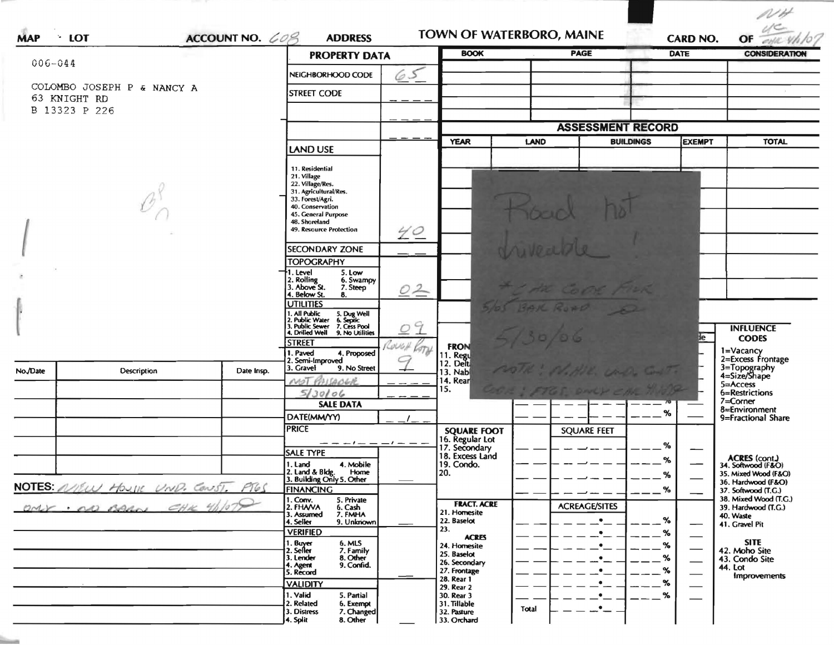| $006 - 044$                                                 |                          | ACCOUNT NO. 608<br><b>ADDRESS</b><br><b>PROPERTY DATA</b> |                                                                                                                                                                                        | <b>BOOK</b> |                                                       | <b>PAGE</b> | <b>DATE</b>              | OF all this<br><b>CONSIDERATION</b>        |                                                                                |
|-------------------------------------------------------------|--------------------------|-----------------------------------------------------------|----------------------------------------------------------------------------------------------------------------------------------------------------------------------------------------|-------------|-------------------------------------------------------|-------------|--------------------------|--------------------------------------------|--------------------------------------------------------------------------------|
|                                                             |                          |                                                           | NEIGHBORHOOD CODE                                                                                                                                                                      | 65          |                                                       |             |                          |                                            |                                                                                |
| COLOMBO JOSEPH P & NANCY A<br>63 KNIGHT RD<br>B 13323 P 226 |                          |                                                           | <b>STREET CODE</b>                                                                                                                                                                     |             |                                                       |             |                          |                                            |                                                                                |
|                                                             |                          |                                                           |                                                                                                                                                                                        |             |                                                       |             | <b>ASSESSMENT RECORD</b> |                                            |                                                                                |
|                                                             |                          |                                                           | <b>LAND USE</b>                                                                                                                                                                        |             | <b>YEAR</b>                                           | <b>LAND</b> | <b>BUILDINGS</b>         | <b>EXEMPT</b>                              | <b>TOTAL</b>                                                                   |
|                                                             |                          |                                                           | 11. Residential<br>21. Village<br>22. Village/Res.<br>31. Agricultural/Res.<br>33. Forest/Agri.<br>40. Conservation<br>45. General Purpose<br>48. Shoreland<br>49. Resource Protection | 40          |                                                       |             |                          |                                            |                                                                                |
|                                                             |                          |                                                           | <b>SECONDARY ZONE</b>                                                                                                                                                                  |             |                                                       |             |                          |                                            |                                                                                |
|                                                             |                          |                                                           | <b>TOPOGRAPHY</b>                                                                                                                                                                      |             |                                                       |             |                          |                                            |                                                                                |
|                                                             |                          |                                                           | 1. Level<br>5. Low<br>2. Rolling<br>3. Above St.<br>6. Swampy<br>7. Steep<br>4. Below St.<br>8.                                                                                        | 02          |                                                       |             | LAK COOK AILR            |                                            |                                                                                |
|                                                             |                          |                                                           | <b>UTILITIES</b>                                                                                                                                                                       |             |                                                       |             | BAK ROAD D               |                                            |                                                                                |
|                                                             |                          |                                                           | 1. All Public 5. Dug Well<br>2. Public Water 6. Septic<br>3. Public Sewer 7. Cess Pool<br>4. Drilled Well 9. No Utilities                                                              |             |                                                       |             |                          |                                            | <b>INFLUENCE</b>                                                               |
| No./Date                                                    | <b>Description</b>       | Date Irisp.                                               | <b>STREET</b><br>1. Paved<br>4. Proposed<br>2. Semi-Improved<br>9. No Street<br>3. Gravel                                                                                              | COUGH       | <b>FRON</b><br>11. Regu<br>12. Delt<br><b>13. Nab</b> |             |                          | lе                                         | <b>CODES</b><br>1=Vacancy<br>2=Excess Frontage<br>3=Topography<br>4=Size/Shape |
|                                                             |                          |                                                           | MOT<br>SARCHE<br>5/30/06                                                                                                                                                               |             | 14. Rear<br>15.                                       |             |                          |                                            | 5=Access<br>6=Restrictions                                                     |
|                                                             |                          |                                                           | <b>SALE DATA</b>                                                                                                                                                                       |             |                                                       |             |                          |                                            | 7=Corner<br>8=Environment                                                      |
|                                                             |                          |                                                           | DATE(MM/YY)                                                                                                                                                                            |             |                                                       |             |                          | $\%$                                       | 9=Fractional Share                                                             |
|                                                             |                          |                                                           | <b>PRICE</b>                                                                                                                                                                           |             | <b>SQUARE FOOT</b><br>16. Regular Lot                 |             | <b>SQUARE FEET</b>       |                                            |                                                                                |
|                                                             |                          |                                                           | — — <i>— !</i> — — — / — — .<br><b>SALE TYPE</b>                                                                                                                                       |             | 17. Secondary<br>18. Excess Land                      |             |                          | %                                          |                                                                                |
|                                                             |                          |                                                           | 4. Mobile<br>1. Land                                                                                                                                                                   |             | 19. Condo.                                            |             |                          | ℅                                          | ACRES (cont.)<br>34. Softwood (F&O)                                            |
|                                                             |                          | 2. Land & Bldg. Home<br>3. Building Only 5. Other         |                                                                                                                                                                                        | 20.         |                                                       |             | %                        | 35. Mixed Wood (F&O)<br>36. Hardwood (F&O) |                                                                                |
| NOTES NIEW HOUSE UND. CONST. PIGS                           |                          |                                                           | <b>FINANCING</b><br>5. Private                                                                                                                                                         |             |                                                       |             |                          | $\%$                                       | 37. Softwood (T.G.)<br>38. Mixed Wood (T.G.)                                   |
|                                                             | OMY : no come CHK 4/1029 |                                                           | 1. Conv.<br>2. FHAVA<br>6. Cash<br>7. FMHA<br>3. Assumed                                                                                                                               |             | <b>FRACT. ACRE</b><br>21. Homesite                    |             | <b>ACREAGE/SITES</b>     |                                            | 39. Hardwood (T.G.)<br>40. Waste                                               |
|                                                             |                          |                                                           | 4. Seller<br>9. Unknown<br><b>VERIFIED</b>                                                                                                                                             |             | 22. Baselot<br>23.                                    |             | $\bullet$                | $\%$<br>%                                  | 41. Gravel Pit                                                                 |
|                                                             |                          |                                                           | 6. MLS<br>1. Buyer                                                                                                                                                                     |             | <b>ACRES</b><br>24. Homesite                          |             | $\bullet$<br>$\cdot$ $-$ | %                                          | <b>SITE</b>                                                                    |
|                                                             |                          |                                                           | 2. Seller<br>7. Family<br>8. Other<br>3. Lender                                                                                                                                        |             | 25. Baselot                                           |             | _•_                      | %                                          | 42. Moho Site<br>43. Condo Site                                                |
|                                                             |                          |                                                           | 4. Agent<br>9. Confid.<br>5. Record                                                                                                                                                    |             | 26. Secondary<br>27. Frontage                         |             | $\cdot$ –                | $\%$                                       | <b>44. Lot</b>                                                                 |
|                                                             |                          |                                                           | <b>VALIDITY</b>                                                                                                                                                                        |             | 28. Rear 1<br>29. Rear 2                              |             | _•_                      | %                                          | <b>Improvements</b>                                                            |
|                                                             |                          |                                                           | 1. Valid<br>5. Partial                                                                                                                                                                 |             | 30. Rear 3                                            |             | $\cdot$ $-$              | %                                          |                                                                                |
|                                                             |                          |                                                           | 2. Related<br>6. Exempt<br>3. Distress<br>7. Changed                                                                                                                                   |             | 31. Tillable<br>32. Pasture                           | Total       | $ -$                     |                                            |                                                                                |

in.

 $NH$